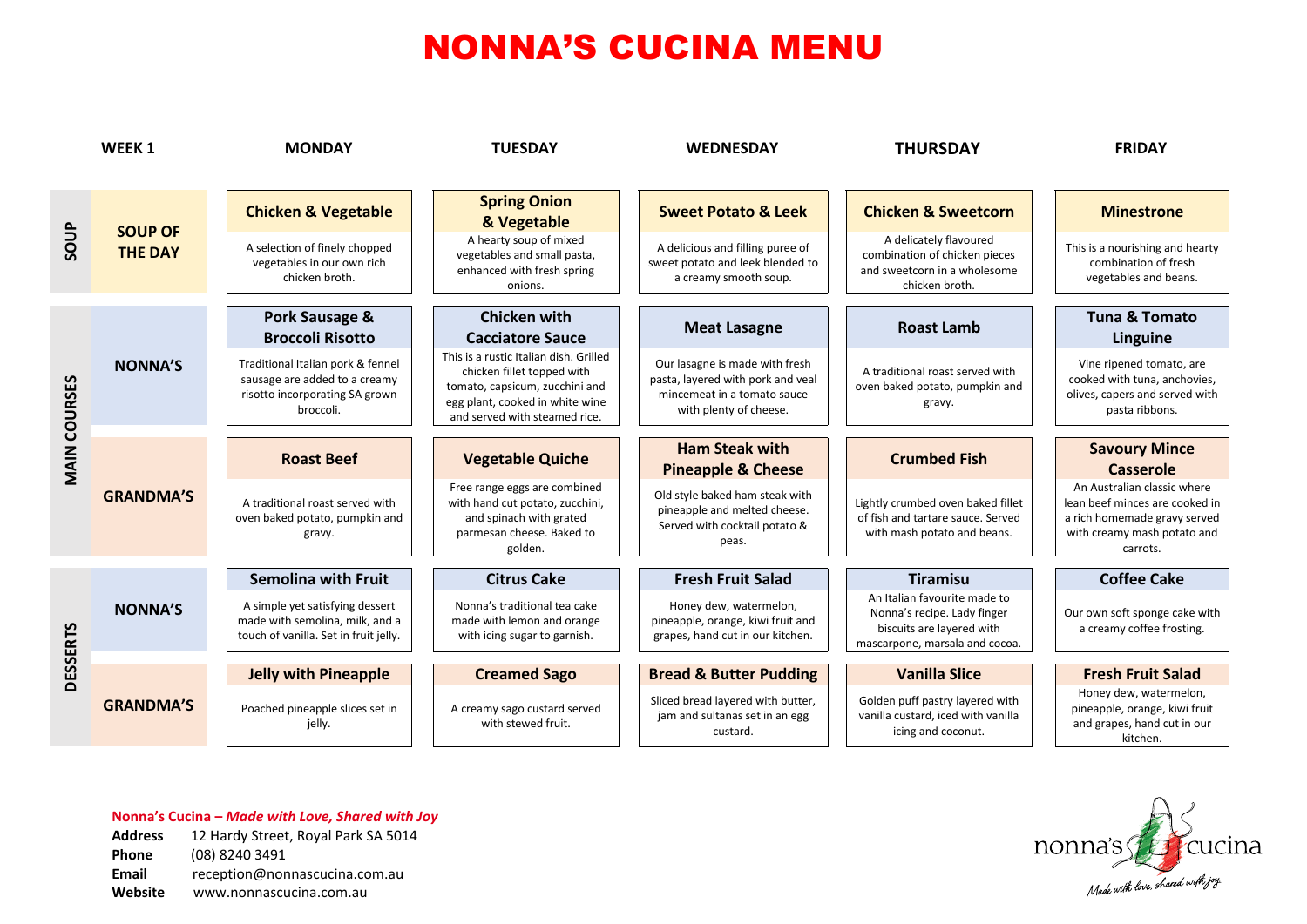|                     | WEEK <sub>1</sub>                | <b>MONDAY</b>                                                                                                     | <b>TUESDAY</b>                                                                                                                                                             | <b>WEDNESDAY</b>                                                                                                             | <b>THURSDAY</b>                                                                                                            | <b>FRIDAY</b>                                                                                                                            |
|---------------------|----------------------------------|-------------------------------------------------------------------------------------------------------------------|----------------------------------------------------------------------------------------------------------------------------------------------------------------------------|------------------------------------------------------------------------------------------------------------------------------|----------------------------------------------------------------------------------------------------------------------------|------------------------------------------------------------------------------------------------------------------------------------------|
| SOUP                | <b>SOUP OF</b><br><b>THE DAY</b> | <b>Chicken &amp; Vegetable</b>                                                                                    | <b>Spring Onion</b><br>& Vegetable                                                                                                                                         | <b>Sweet Potato &amp; Leek</b>                                                                                               | <b>Chicken &amp; Sweetcorn</b>                                                                                             | <b>Minestrone</b>                                                                                                                        |
|                     |                                  | A selection of finely chopped<br>vegetables in our own rich<br>chicken broth.                                     | A hearty soup of mixed<br>vegetables and small pasta,<br>enhanced with fresh spring<br>onions.                                                                             | A delicious and filling puree of<br>sweet potato and leek blended to<br>a creamy smooth soup.                                | A delicately flavoured<br>combination of chicken pieces<br>and sweetcorn in a wholesome<br>chicken broth.                  | This is a nourishing and hearty<br>combination of fresh<br>vegetables and beans.                                                         |
| <b>MAIN COURSES</b> | <b>NONNA'S</b>                   | Pork Sausage &<br><b>Broccoli Risotto</b>                                                                         | <b>Chicken with</b><br><b>Cacciatore Sauce</b>                                                                                                                             | <b>Meat Lasagne</b>                                                                                                          | <b>Roast Lamb</b>                                                                                                          | <b>Tuna &amp; Tomato</b><br>Linguine                                                                                                     |
|                     |                                  | Traditional Italian pork & fennel<br>sausage are added to a creamy<br>risotto incorporating SA grown<br>broccoli. | This is a rustic Italian dish. Grilled<br>chicken fillet topped with<br>tomato, capsicum, zucchini and<br>egg plant, cooked in white wine<br>and served with steamed rice. | Our lasagne is made with fresh<br>pasta, layered with pork and veal<br>mincemeat in a tomato sauce<br>with plenty of cheese. | A traditional roast served with<br>oven baked potato, pumpkin and<br>gravy.                                                | Vine ripened tomato, are<br>cooked with tuna, anchovies,<br>olives, capers and served with<br>pasta ribbons.                             |
|                     | <b>GRANDMA'S</b>                 | <b>Roast Beef</b>                                                                                                 | <b>Vegetable Quiche</b>                                                                                                                                                    | <b>Ham Steak with</b><br><b>Pineapple &amp; Cheese</b>                                                                       | <b>Crumbed Fish</b>                                                                                                        | <b>Savoury Mince</b><br><b>Casserole</b>                                                                                                 |
|                     |                                  | A traditional roast served with<br>oven baked potato, pumpkin and<br>gravy.                                       | Free range eggs are combined<br>with hand cut potato, zucchini,<br>and spinach with grated<br>parmesan cheese. Baked to<br>golden.                                         | Old style baked ham steak with<br>pineapple and melted cheese.<br>Served with cocktail potato &<br>peas.                     | Lightly crumbed oven baked fillet<br>of fish and tartare sauce. Served<br>with mash potato and beans.                      | An Australian classic where<br>lean beef minces are cooked in<br>a rich homemade gravy served<br>with creamy mash potato and<br>carrots. |
|                     | <b>NONNA'S</b>                   | <b>Semolina with Fruit</b>                                                                                        | <b>Citrus Cake</b>                                                                                                                                                         | <b>Fresh Fruit Salad</b>                                                                                                     | <b>Tiramisu</b>                                                                                                            | <b>Coffee Cake</b>                                                                                                                       |
| <b>DESSERTS</b>     |                                  | A simple yet satisfying dessert<br>made with semolina, milk, and a<br>touch of vanilla. Set in fruit jelly.       | Nonna's traditional tea cake<br>made with lemon and orange<br>with icing sugar to garnish.                                                                                 | Honey dew, watermelon,<br>pineapple, orange, kiwi fruit and<br>grapes, hand cut in our kitchen.                              | An Italian favourite made to<br>Nonna's recipe. Lady finger<br>biscuits are layered with<br>mascarpone, marsala and cocoa. | Our own soft sponge cake with<br>a creamy coffee frosting.                                                                               |
|                     |                                  | <b>Jelly with Pineapple</b>                                                                                       | <b>Creamed Sago</b>                                                                                                                                                        | <b>Bread &amp; Butter Pudding</b>                                                                                            | <b>Vanilla Slice</b>                                                                                                       | <b>Fresh Fruit Salad</b>                                                                                                                 |
|                     | <b>GRANDMA'S</b>                 | Poached pineapple slices set in<br>jelly.                                                                         | A creamy sago custard served<br>with stewed fruit.                                                                                                                         | Sliced bread layered with butter,<br>jam and sultanas set in an egg<br>custard.                                              | Golden puff pastry layered with<br>vanilla custard, iced with vanilla<br>icing and coconut.                                | Honey dew, watermelon,<br>pineapple, orange, kiwi fruit<br>and grapes, hand cut in our<br>kitchen.                                       |

### **Nonna's Cucina –** *Made with Love, Shared with Joy*

**Address** 12 Hardy Street, Royal Park SA 5014 **Phone** (08) 8240 3491 **Email** reception@nonnascucina.com.au **Website** www.nonnascucina.com.au

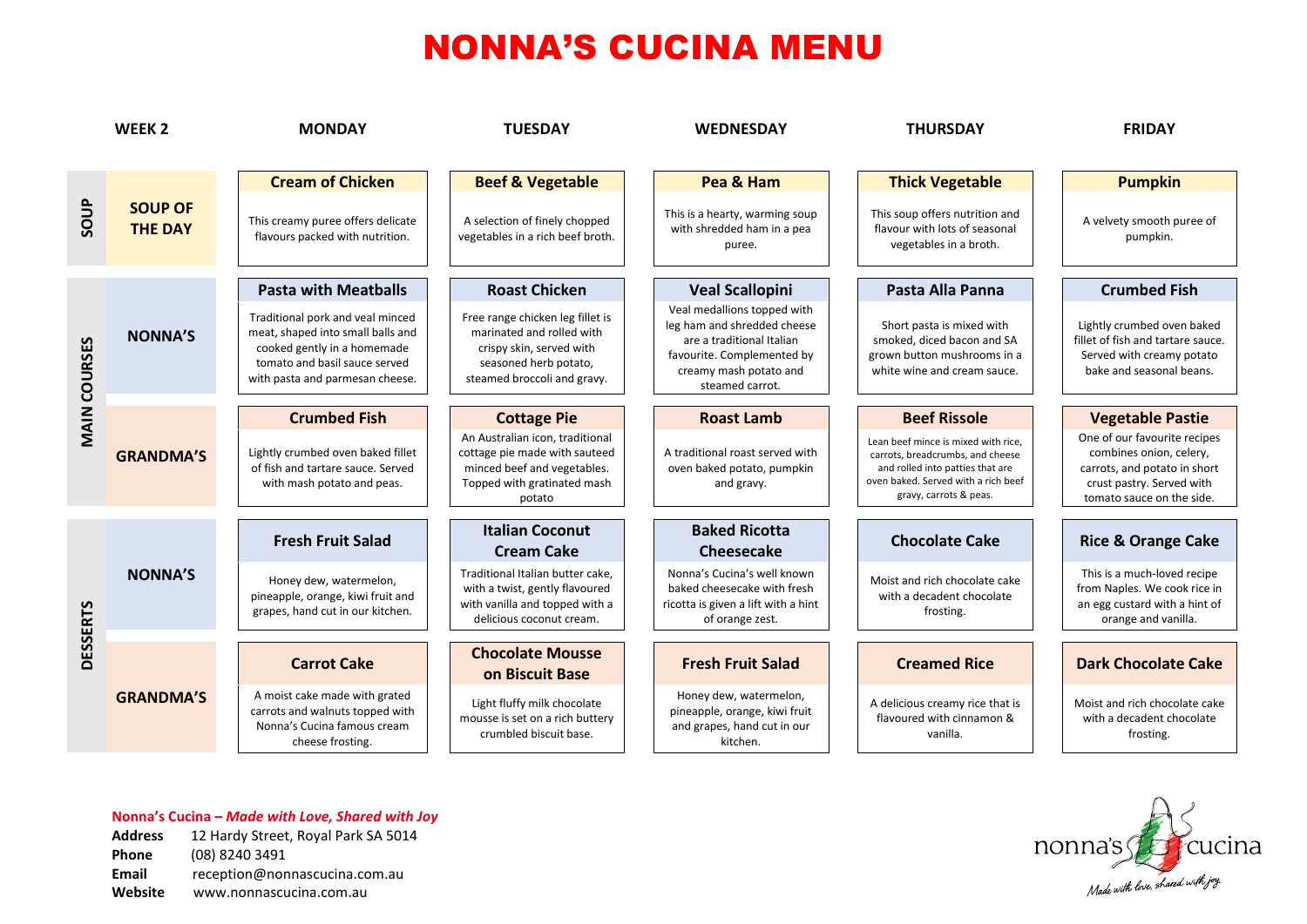|                     | WEEK <sub>2</sub>                | <b>MONDAY</b>                                                                                                                                                            | <b>TUESDAY</b>                                                                                                                                    | <b>WEDNESDAY</b>                                                                                                                                                   | <b>THURSDAY</b>                                                                                                                                                              | <b>FRIDAY</b>                                                                                                                                     |
|---------------------|----------------------------------|--------------------------------------------------------------------------------------------------------------------------------------------------------------------------|---------------------------------------------------------------------------------------------------------------------------------------------------|--------------------------------------------------------------------------------------------------------------------------------------------------------------------|------------------------------------------------------------------------------------------------------------------------------------------------------------------------------|---------------------------------------------------------------------------------------------------------------------------------------------------|
|                     |                                  | <b>Cream of Chicken</b>                                                                                                                                                  | <b>Beef &amp; Vegetable</b>                                                                                                                       | Pea & Ham                                                                                                                                                          | <b>Thick Vegetable</b>                                                                                                                                                       | <b>Pumpkin</b>                                                                                                                                    |
| soup                | <b>SOUP OF</b><br><b>THE DAY</b> | This creamy puree offers delicate<br>flavours packed with nutrition.                                                                                                     | A selection of finely chopped<br>vegetables in a rich beef broth.                                                                                 | This is a hearty, warming soup<br>with shredded ham in a pea<br>puree.                                                                                             | This soup offers nutrition and<br>flavour with lots of seasonal<br>vegetables in a broth.                                                                                    | A velvety smooth puree of<br>pumpkin.                                                                                                             |
|                     |                                  | <b>Pasta with Meatballs</b>                                                                                                                                              | <b>Roast Chicken</b>                                                                                                                              | <b>Veal Scallopini</b>                                                                                                                                             | Pasta Alla Panna                                                                                                                                                             | <b>Crumbed Fish</b>                                                                                                                               |
| <b>MAIN COURSES</b> | <b>NONNA'S</b>                   | Traditional pork and veal minced<br>meat, shaped into small balls and<br>cooked gently in a homemade<br>tomato and basil sauce served<br>with pasta and parmesan cheese. | Free range chicken leg fillet is<br>marinated and rolled with<br>crispy skin, served with<br>seasoned herb potato,<br>steamed broccoli and gravy. | Veal medallions topped with<br>leg ham and shredded cheese<br>are a traditional Italian<br>favourite. Complemented by<br>creamy mash potato and<br>steamed carrot. | Short pasta is mixed with<br>smoked, diced bacon and SA<br>grown button mushrooms in a<br>white wine and cream sauce.                                                        | Lightly crumbed oven baked<br>fillet of fish and tartare sauce.<br>Served with creamy potato<br>bake and seasonal beans.                          |
|                     | <b>GRANDMA'S</b>                 | <b>Crumbed Fish</b>                                                                                                                                                      | <b>Cottage Pie</b>                                                                                                                                | <b>Roast Lamb</b>                                                                                                                                                  | <b>Beef Rissole</b>                                                                                                                                                          | <b>Vegetable Pastie</b>                                                                                                                           |
|                     |                                  | Lightly crumbed oven baked fillet<br>of fish and tartare sauce. Served<br>with mash potato and peas.                                                                     | An Australian icon, traditional<br>cottage pie made with sauteed<br>minced beef and vegetables.<br>Topped with gratinated mash<br>potato          | A traditional roast served with<br>oven baked potato, pumpkin<br>and gravy.                                                                                        | Lean beef mince is mixed with rice.<br>carrots, breadcrumbs, and cheese<br>and rolled into patties that are<br>oven baked. Served with a rich beef<br>gravy, carrots & peas. | One of our favourite recipes<br>combines onion, celery,<br>carrots, and potato in short<br>crust pastry. Served with<br>tomato sauce on the side. |
| <b>DESSERTS</b>     | <b>NONNA'S</b>                   | <b>Fresh Fruit Salad</b>                                                                                                                                                 | <b>Italian Coconut</b><br><b>Cream Cake</b>                                                                                                       | <b>Baked Ricotta</b><br>Cheesecake                                                                                                                                 | <b>Chocolate Cake</b>                                                                                                                                                        | <b>Rice &amp; Orange Cake</b>                                                                                                                     |
|                     |                                  | Honey dew, watermelon,<br>pineapple, orange, kiwi fruit and<br>grapes, hand cut in our kitchen.                                                                          | Traditional Italian butter cake,<br>with a twist, gently flavoured<br>with vanilla and topped with a<br>delicious coconut cream.                  | Nonna's Cucina's well known<br>baked cheesecake with fresh<br>ricotta is given a lift with a hint<br>of orange zest.                                               | Moist and rich chocolate cake<br>with a decadent chocolate<br>frosting.                                                                                                      | This is a much-loved recipe<br>from Naples. We cook rice in<br>an egg custard with a hint of<br>orange and vanilla.                               |
|                     |                                  | <b>Carrot Cake</b>                                                                                                                                                       | <b>Chocolate Mousse</b><br>on Biscuit Base                                                                                                        | <b>Fresh Fruit Salad</b>                                                                                                                                           | <b>Creamed Rice</b>                                                                                                                                                          | <b>Dark Chocolate Cake</b>                                                                                                                        |
|                     | <b>GRANDMA'S</b>                 | A moist cake made with grated<br>carrots and walnuts topped with<br>Nonna's Cucina famous cream<br>cheese frosting.                                                      | Light fluffy milk chocolate<br>mousse is set on a rich buttery<br>crumbled biscuit base.                                                          | Honey dew, watermelon,<br>pineapple, orange, kiwi fruit<br>and grapes, hand cut in our<br>kitchen.                                                                 | A delicious creamy rice that is<br>flavoured with cinnamon &<br>vanilla.                                                                                                     | Moist and rich chocolate cake<br>with a decadent chocolate<br>frosting.                                                                           |

#### **Nonna's Cucina –** *Made with Love, Shared with Joy*

| <b>Address</b> | 12 Hardy Street, Royal Park SA 5014 |
|----------------|-------------------------------------|
| <b>Phone</b>   | (08) 8240 3491                      |
| <b>Email</b>   | reception@nonnascucina.com.au       |
| Website        | www.nonnascucina.com.au             |

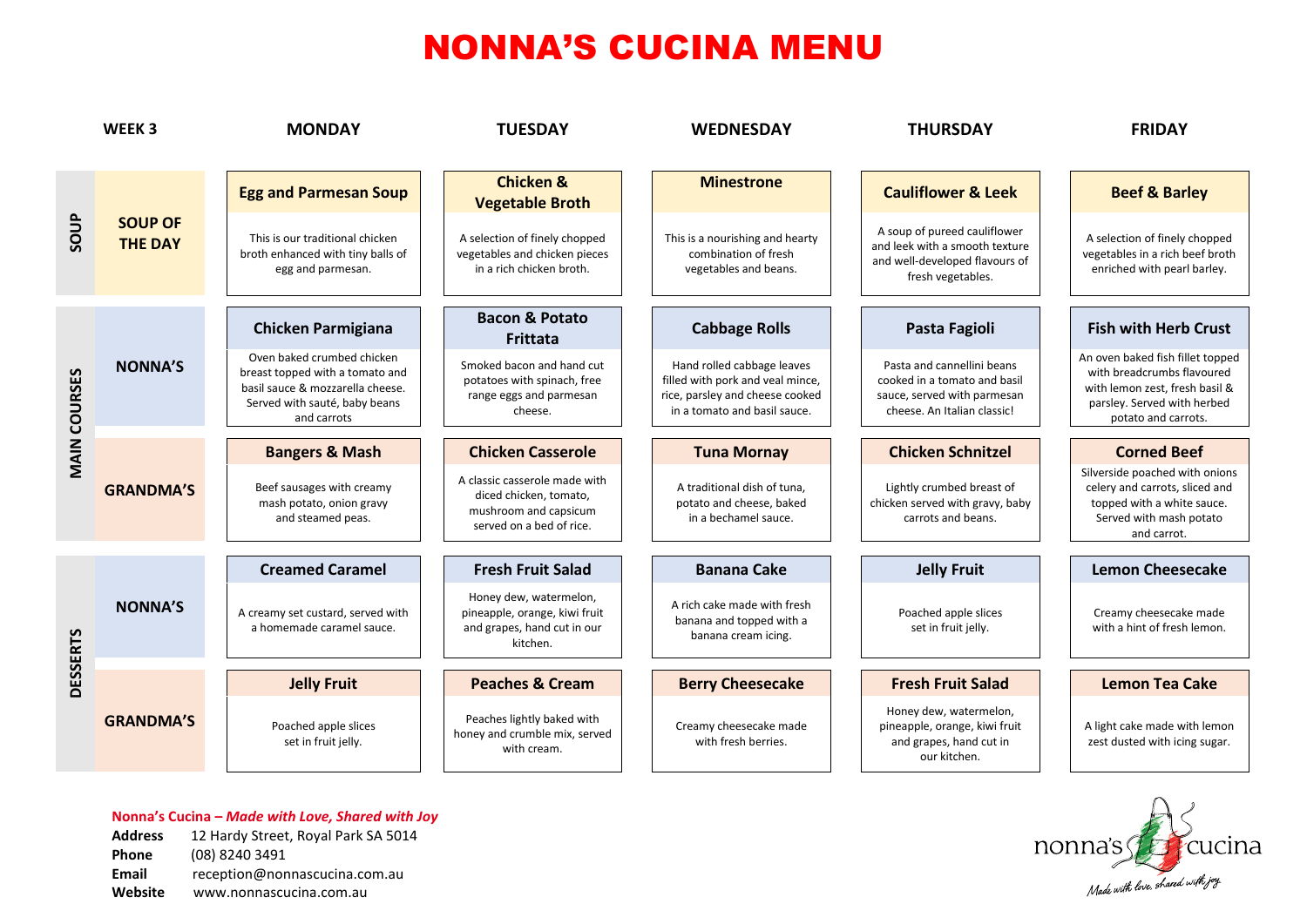|                     | WEEK <sub>3</sub>                | <b>MONDAY</b>                                                                                                                                     | <b>TUESDAY</b>                                                                                               | <b>WEDNESDAY</b>                                                                                                                  | <b>THURSDAY</b>                                                                                                          | <b>FRIDAY</b>                                                                                                                                          |
|---------------------|----------------------------------|---------------------------------------------------------------------------------------------------------------------------------------------------|--------------------------------------------------------------------------------------------------------------|-----------------------------------------------------------------------------------------------------------------------------------|--------------------------------------------------------------------------------------------------------------------------|--------------------------------------------------------------------------------------------------------------------------------------------------------|
| SOUP                | <b>SOUP OF</b><br><b>THE DAY</b> | <b>Egg and Parmesan Soup</b>                                                                                                                      | <b>Chicken &amp;</b><br><b>Vegetable Broth</b>                                                               | <b>Minestrone</b>                                                                                                                 | <b>Cauliflower &amp; Leek</b>                                                                                            | <b>Beef &amp; Barley</b>                                                                                                                               |
|                     |                                  | This is our traditional chicken<br>broth enhanced with tiny balls of<br>egg and parmesan.                                                         | A selection of finely chopped<br>vegetables and chicken pieces<br>in a rich chicken broth.                   | This is a nourishing and hearty<br>combination of fresh<br>vegetables and beans.                                                  | A soup of pureed cauliflower<br>and leek with a smooth texture<br>and well-developed flavours of<br>fresh vegetables.    | A selection of finely chopped<br>vegetables in a rich beef broth<br>enriched with pearl barley.                                                        |
| <b>MAIN COURSES</b> | <b>NONNA'S</b>                   | <b>Chicken Parmigiana</b>                                                                                                                         | <b>Bacon &amp; Potato</b><br><b>Frittata</b>                                                                 | <b>Cabbage Rolls</b>                                                                                                              | Pasta Fagioli                                                                                                            | <b>Fish with Herb Crust</b>                                                                                                                            |
|                     |                                  | Oven baked crumbed chicken<br>breast topped with a tomato and<br>basil sauce & mozzarella cheese.<br>Served with sauté, baby beans<br>and carrots | Smoked bacon and hand cut<br>potatoes with spinach, free<br>range eggs and parmesan<br>cheese.               | Hand rolled cabbage leaves<br>filled with pork and veal mince,<br>rice, parsley and cheese cooked<br>in a tomato and basil sauce. | Pasta and cannellini beans<br>cooked in a tomato and basil<br>sauce, served with parmesan<br>cheese. An Italian classic! | An oven baked fish fillet topped<br>with breadcrumbs flavoured<br>with lemon zest, fresh basil &<br>parsley. Served with herbed<br>potato and carrots. |
|                     | <b>GRANDMA'S</b>                 | <b>Bangers &amp; Mash</b>                                                                                                                         | <b>Chicken Casserole</b>                                                                                     | <b>Tuna Mornay</b>                                                                                                                | <b>Chicken Schnitzel</b>                                                                                                 | <b>Corned Beef</b>                                                                                                                                     |
|                     |                                  | Beef sausages with creamy<br>mash potato, onion gravy<br>and steamed peas.                                                                        | A classic casserole made with<br>diced chicken, tomato,<br>mushroom and capsicum<br>served on a bed of rice. | A traditional dish of tuna,<br>potato and cheese, baked<br>in a bechamel sauce.                                                   | Lightly crumbed breast of<br>chicken served with gravy, baby<br>carrots and beans.                                       | Silverside poached with onions<br>celery and carrots, sliced and<br>topped with a white sauce.<br>Served with mash potato<br>and carrot.               |
|                     |                                  | <b>Creamed Caramel</b>                                                                                                                            | <b>Fresh Fruit Salad</b>                                                                                     | <b>Banana Cake</b>                                                                                                                | <b>Jelly Fruit</b>                                                                                                       | <b>Lemon Cheesecake</b>                                                                                                                                |
| <b>DESSERTS</b>     | <b>NONNA'S</b>                   | A creamy set custard, served with<br>a homemade caramel sauce.                                                                                    | Honey dew, watermelon,<br>pineapple, orange, kiwi fruit<br>and grapes, hand cut in our<br>kitchen.           | A rich cake made with fresh<br>banana and topped with a<br>banana cream icing.                                                    | Poached apple slices<br>set in fruit jelly.                                                                              | Creamy cheesecake made<br>with a hint of fresh lemon.                                                                                                  |
|                     |                                  | <b>Jelly Fruit</b>                                                                                                                                | <b>Peaches &amp; Cream</b>                                                                                   | <b>Berry Cheesecake</b>                                                                                                           | <b>Fresh Fruit Salad</b>                                                                                                 | <b>Lemon Tea Cake</b>                                                                                                                                  |
|                     | <b>GRANDMA'S</b>                 | Poached apple slices<br>set in fruit jelly.                                                                                                       | Peaches lightly baked with<br>honey and crumble mix, served<br>with cream.                                   | Creamy cheesecake made<br>with fresh berries.                                                                                     | Honey dew, watermelon,<br>pineapple, orange, kiwi fruit<br>and grapes, hand cut in<br>our kitchen.                       | A light cake made with lemon<br>zest dusted with icing sugar.                                                                                          |

#### **Nonna's Cucina –** *Made with Love, Shared with Joy* **Address** 12 Hardy Street, Royal Park SA 5014 **Phone** (08) 8240 3491 **Email** reception@nonnascucina.com.au

**Website** www.nonnascucina.com.au

nonna's for cucina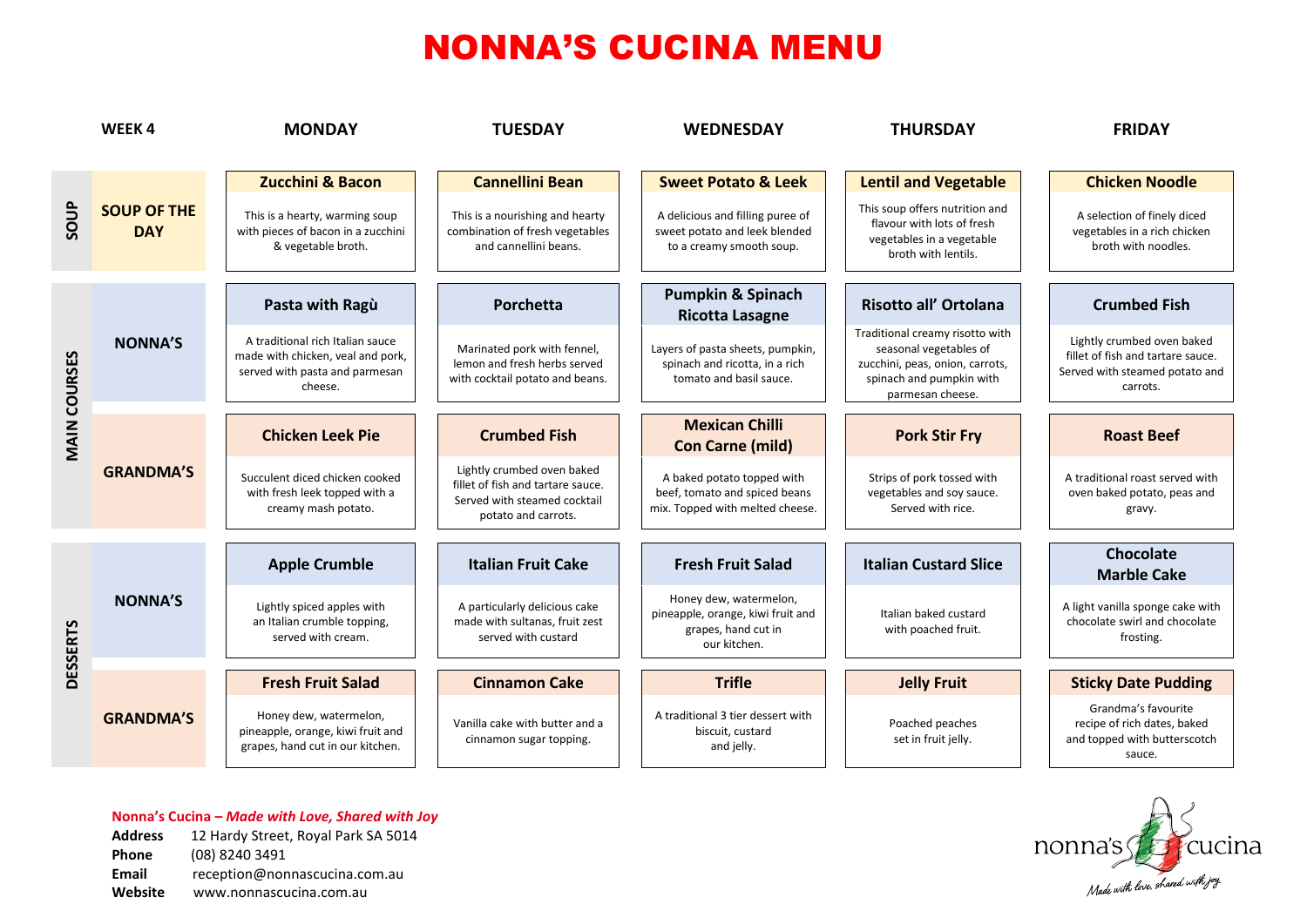|                     | WEEK4                            | <b>MONDAY</b>                                                                                                      | <b>TUESDAY</b>                                                                                                         | <b>WEDNESDAY</b>                                                                                   | <b>THURSDAY</b>                                                                                                                              | <b>FRIDAY</b>                                                                                                 |
|---------------------|----------------------------------|--------------------------------------------------------------------------------------------------------------------|------------------------------------------------------------------------------------------------------------------------|----------------------------------------------------------------------------------------------------|----------------------------------------------------------------------------------------------------------------------------------------------|---------------------------------------------------------------------------------------------------------------|
|                     |                                  | <b>Zucchini &amp; Bacon</b>                                                                                        | <b>Cannellini Bean</b>                                                                                                 | <b>Sweet Potato &amp; Leek</b>                                                                     | <b>Lentil and Vegetable</b>                                                                                                                  | <b>Chicken Noodle</b>                                                                                         |
| SOUP                | <b>SOUP OF THE</b><br><b>DAY</b> | This is a hearty, warming soup<br>with pieces of bacon in a zucchini<br>& vegetable broth.                         | This is a nourishing and hearty<br>combination of fresh vegetables<br>and cannellini beans.                            | A delicious and filling puree of<br>sweet potato and leek blended<br>to a creamy smooth soup.      | This soup offers nutrition and<br>flavour with lots of fresh<br>vegetables in a vegetable<br>broth with lentils.                             | A selection of finely diced<br>vegetables in a rich chicken<br>broth with noodles.                            |
|                     | <b>NONNA'S</b>                   | Pasta with Ragù                                                                                                    | Porchetta                                                                                                              | <b>Pumpkin &amp; Spinach</b><br><b>Ricotta Lasagne</b>                                             | Risotto all' Ortolana                                                                                                                        | <b>Crumbed Fish</b>                                                                                           |
|                     |                                  | A traditional rich Italian sauce<br>made with chicken, veal and pork,<br>served with pasta and parmesan<br>cheese. | Marinated pork with fennel,<br>lemon and fresh herbs served<br>with cocktail potato and beans.                         | Layers of pasta sheets, pumpkin,<br>spinach and ricotta, in a rich<br>tomato and basil sauce.      | Traditional creamy risotto with<br>seasonal vegetables of<br>zucchini, peas, onion, carrots,<br>spinach and pumpkin with<br>parmesan cheese. | Lightly crumbed oven baked<br>fillet of fish and tartare sauce.<br>Served with steamed potato and<br>carrots. |
| <b>MAIN COURSES</b> | <b>GRANDMA'S</b>                 | <b>Chicken Leek Pie</b>                                                                                            | <b>Crumbed Fish</b>                                                                                                    | <b>Mexican Chilli</b><br><b>Con Carne (mild)</b>                                                   | <b>Pork Stir Fry</b>                                                                                                                         | <b>Roast Beef</b>                                                                                             |
|                     |                                  | Succulent diced chicken cooked<br>with fresh leek topped with a<br>creamy mash potato.                             | Lightly crumbed oven baked<br>fillet of fish and tartare sauce.<br>Served with steamed cocktail<br>potato and carrots. | A baked potato topped with<br>beef, tomato and spiced beans<br>mix. Topped with melted cheese.     | Strips of pork tossed with<br>vegetables and soy sauce.<br>Served with rice.                                                                 | A traditional roast served with<br>oven baked potato, peas and<br>gravy.                                      |
| <b>DESSERTS</b>     | <b>NONNA'S</b>                   | <b>Apple Crumble</b>                                                                                               | <b>Italian Fruit Cake</b>                                                                                              | <b>Fresh Fruit Salad</b>                                                                           | <b>Italian Custard Slice</b>                                                                                                                 | Chocolate<br><b>Marble Cake</b>                                                                               |
|                     |                                  | Lightly spiced apples with<br>an Italian crumble topping,<br>served with cream.                                    | A particularly delicious cake<br>made with sultanas, fruit zest<br>served with custard                                 | Honey dew, watermelon,<br>pineapple, orange, kiwi fruit and<br>grapes, hand cut in<br>our kitchen. | Italian baked custard<br>with poached fruit.                                                                                                 | A light vanilla sponge cake with<br>chocolate swirl and chocolate<br>frosting.                                |
|                     |                                  | <b>Fresh Fruit Salad</b>                                                                                           | <b>Cinnamon Cake</b>                                                                                                   | <b>Trifle</b>                                                                                      | <b>Jelly Fruit</b>                                                                                                                           | <b>Sticky Date Pudding</b>                                                                                    |
|                     |                                  | <b>GRANDMA'S</b>                                                                                                   | Honey dew, watermelon,<br>pineapple, orange, kiwi fruit and<br>grapes, hand cut in our kitchen.                        | Vanilla cake with butter and a<br>cinnamon sugar topping.                                          | A traditional 3 tier dessert with<br>biscuit, custard<br>and jelly.                                                                          | Poached peaches<br>set in fruit jelly.                                                                        |



**Website** www.nonnascucina.com.au